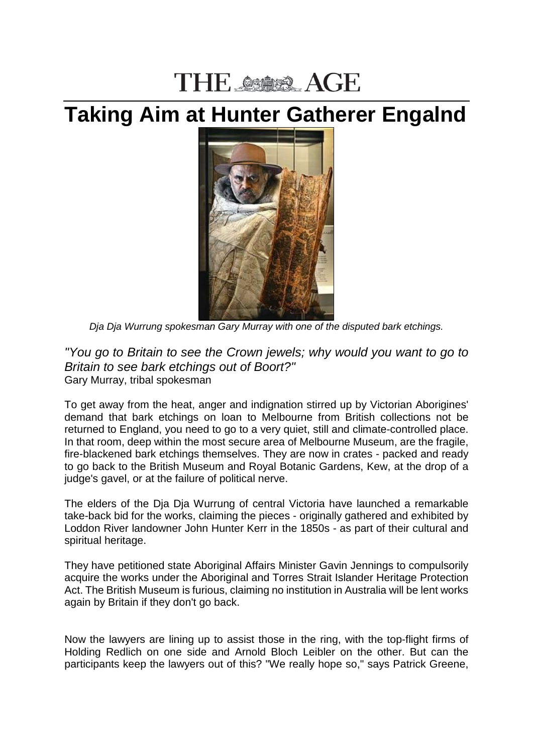## THE SSORS AGE

## **Taking Aim at Hunter Gatherer Engalnd**



*Dja Dja Wurrung spokesman Gary Murray with one of the disputed bark etchings.*

*"You go to Britain to see the Crown jewels; why would you want to go to Britain to see bark etchings out of Boort?"* Gary Murray, tribal spokesman

To get away from the heat, anger and indignation stirred up by Victorian Aborigines' demand that bark etchings on loan to Melbourne from British collections not be returned to England, you need to go to a very quiet, still and climate-controlled place. In that room, deep within the most secure area of Melbourne Museum, are the fragile, fire-blackened bark etchings themselves. They are now in crates - packed and ready to go back to the British Museum and Royal Botanic Gardens, Kew, at the drop of a judge's gavel, or at the failure of political nerve.

The elders of the Dja Dja Wurrung of central Victoria have launched a remarkable take-back bid for the works, claiming the pieces - originally gathered and exhibited by Loddon River landowner John Hunter Kerr in the 1850s - as part of their cultural and spiritual heritage.

They have petitioned state Aboriginal Affairs Minister Gavin Jennings to compulsorily acquire the works under the Aboriginal and Torres Strait Islander Heritage Protection Act. The British Museum is furious, claiming no institution in Australia will be lent works again by Britain if they don't go back.

Now the lawyers are lining up to assist those in the ring, with the top-flight firms of Holding Redlich on one side and Arnold Bloch Leibler on the other. But can the participants keep the lawyers out of this? "We really hope so," says Patrick Greene,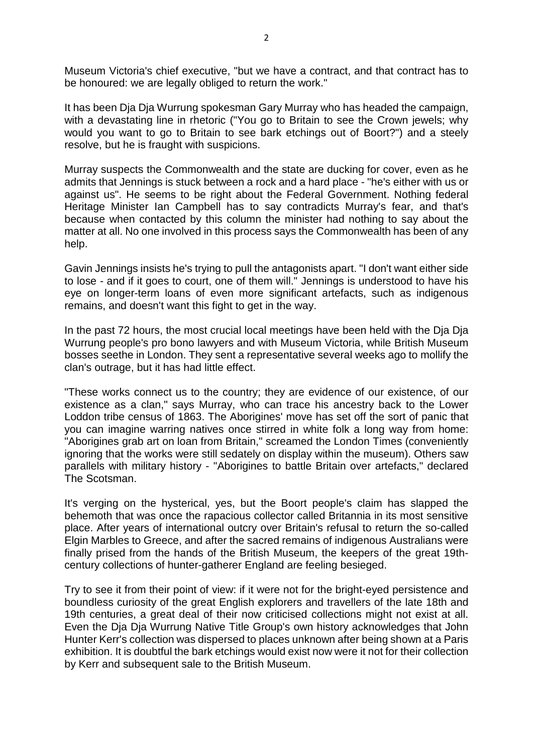Museum Victoria's chief executive, "but we have a contract, and that contract has to be honoured: we are legally obliged to return the work."

It has been Dja Dja Wurrung spokesman Gary Murray who has headed the campaign, with a devastating line in rhetoric ("You go to Britain to see the Crown jewels; why would you want to go to Britain to see bark etchings out of Boort?") and a steely resolve, but he is fraught with suspicions.

Murray suspects the Commonwealth and the state are ducking for cover, even as he admits that Jennings is stuck between a rock and a hard place - "he's either with us or against us". He seems to be right about the Federal Government. Nothing federal Heritage Minister Ian Campbell has to say contradicts Murray's fear, and that's because when contacted by this column the minister had nothing to say about the matter at all. No one involved in this process says the Commonwealth has been of any help.

Gavin Jennings insists he's trying to pull the antagonists apart. "I don't want either side to lose - and if it goes to court, one of them will." Jennings is understood to have his eye on longer-term loans of even more significant artefacts, such as indigenous remains, and doesn't want this fight to get in the way.

In the past 72 hours, the most crucial local meetings have been held with the Dja Dja Wurrung people's pro bono lawyers and with Museum Victoria, while British Museum bosses seethe in London. They sent a representative several weeks ago to mollify the clan's outrage, but it has had little effect.

"These works connect us to the country; they are evidence of our existence, of our existence as a clan," says Murray, who can trace his ancestry back to the Lower Loddon tribe census of 1863. The Aborigines' move has set off the sort of panic that you can imagine warring natives once stirred in white folk a long way from home: "Aborigines grab art on loan from Britain," screamed the London Times (conveniently ignoring that the works were still sedately on display within the museum). Others saw parallels with military history - "Aborigines to battle Britain over artefacts," declared The Scotsman.

It's verging on the hysterical, yes, but the Boort people's claim has slapped the behemoth that was once the rapacious collector called Britannia in its most sensitive place. After years of international outcry over Britain's refusal to return the so-called Elgin Marbles to Greece, and after the sacred remains of indigenous Australians were finally prised from the hands of the British Museum, the keepers of the great 19thcentury collections of hunter-gatherer England are feeling besieged.

Try to see it from their point of view: if it were not for the bright-eyed persistence and boundless curiosity of the great English explorers and travellers of the late 18th and 19th centuries, a great deal of their now criticised collections might not exist at all. Even the Dja Dja Wurrung Native Title Group's own history acknowledges that John Hunter Kerr's collection was dispersed to places unknown after being shown at a Paris exhibition. It is doubtful the bark etchings would exist now were it not for their collection by Kerr and subsequent sale to the British Museum.